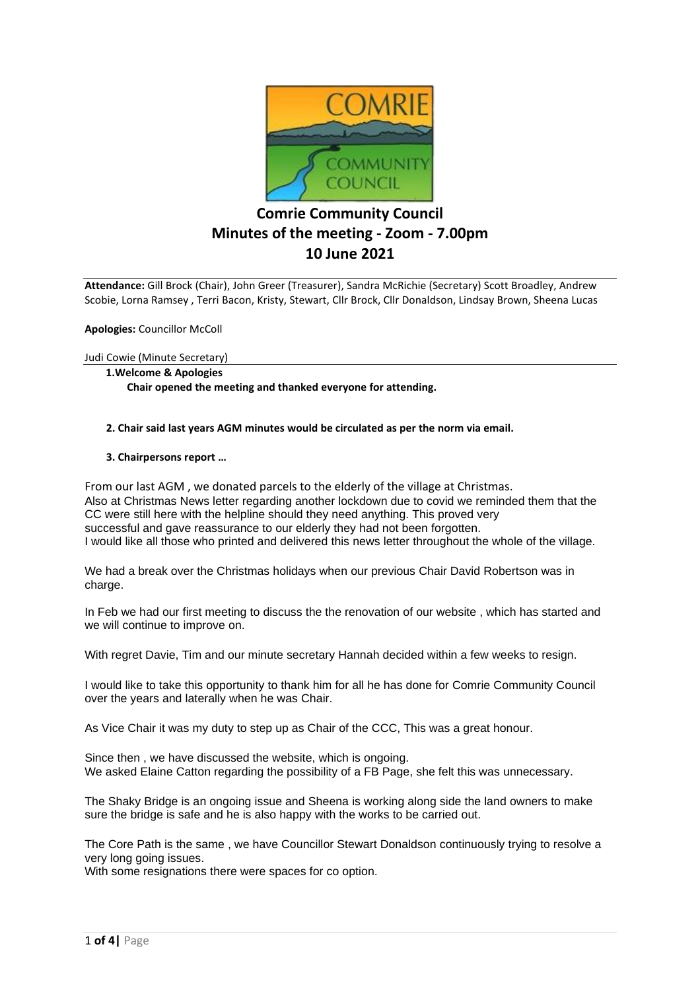

# **Comrie Community Council Minutes of the meeting - Zoom - 7.00pm 10 June 2021**

**Attendance:** Gill Brock (Chair), John Greer (Treasurer), Sandra McRichie (Secretary) Scott Broadley, Andrew Scobie, Lorna Ramsey , Terri Bacon, Kristy, Stewart, Cllr Brock, Cllr Donaldson, Lindsay Brown, Sheena Lucas

**Apologies:** Councillor McColl

Judi Cowie (Minute Secretary)

**1.Welcome & Apologies Chair opened the meeting and thanked everyone for attending.**

 **2. Chair said last years AGM minutes would be circulated as per the norm via email.**

 **3. Chairpersons report …**

From our last AGM , we donated parcels to the elderly of the village at Christmas. Also at Christmas News letter regarding another lockdown due to covid we reminded them that the CC were still here with the helpline should they need anything. This proved very successful and gave reassurance to our elderly they had not been forgotten. I would like all those who printed and delivered this news letter throughout the whole of the village.

We had a break over the Christmas holidays when our previous Chair David Robertson was in charge.

In Feb we had our first meeting to discuss the the renovation of our website , which has started and we will continue to improve on.

With regret Davie, Tim and our minute secretary Hannah decided within a few weeks to resign.

I would like to take this opportunity to thank him for all he has done for Comrie Community Council over the years and laterally when he was Chair.

As Vice Chair it was my duty to step up as Chair of the CCC, This was a great honour.

Since then , we have discussed the website, which is ongoing. We asked Elaine Catton regarding the possibility of a FB Page, she felt this was unnecessary.

The Shaky Bridge is an ongoing issue and Sheena is working along side the land owners to make sure the bridge is safe and he is also happy with the works to be carried out.

The Core Path is the same , we have Councillor Stewart Donaldson continuously trying to resolve a very long going issues.

With some resignations there were spaces for co option.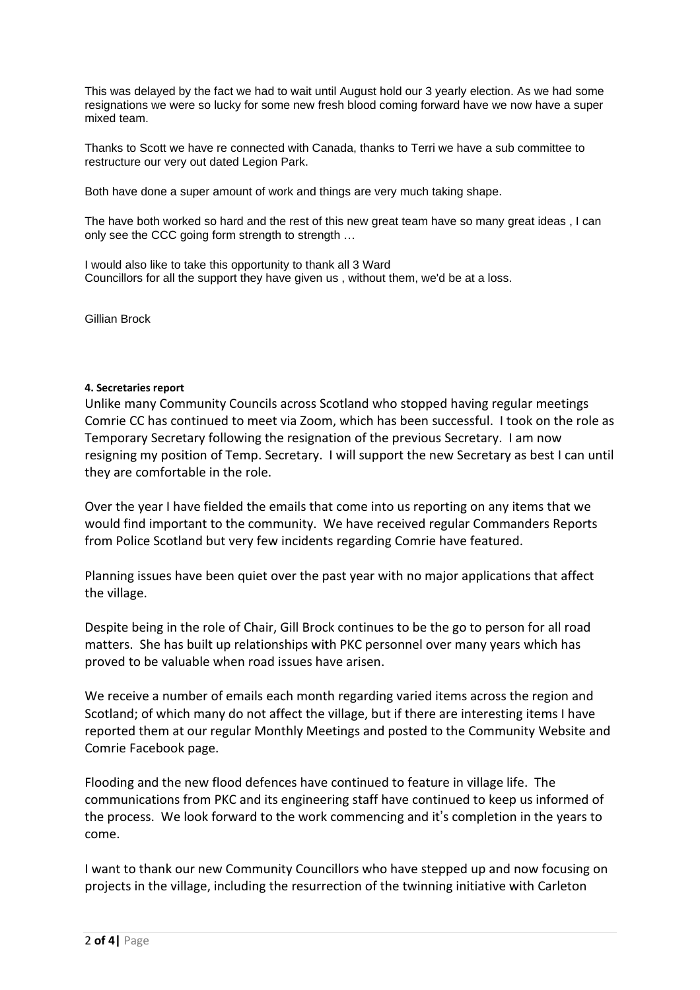This was delayed by the fact we had to wait until August hold our 3 yearly election. As we had some resignations we were so lucky for some new fresh blood coming forward have we now have a super mixed team.

Thanks to Scott we have re connected with Canada, thanks to Terri we have a sub committee to restructure our very out dated Legion Park.

Both have done a super amount of work and things are very much taking shape.

The have both worked so hard and the rest of this new great team have so many great ideas , I can only see the CCC going form strength to strength …

I would also like to take this opportunity to thank all 3 Ward Councillors for all the support they have given us , without them, we'd be at a loss.

Gillian Brock

#### **4. Secretaries report**

Unlike many Community Councils across Scotland who stopped having regular meetings Comrie CC has continued to meet via Zoom, which has been successful. I took on the role as Temporary Secretary following the resignation of the previous Secretary. I am now resigning my position of Temp. Secretary. I will support the new Secretary as best I can until they are comfortable in the role.

Over the year I have fielded the emails that come into us reporting on any items that we would find important to the community. We have received regular Commanders Reports from Police Scotland but very few incidents regarding Comrie have featured.

Planning issues have been quiet over the past year with no major applications that affect the village.

Despite being in the role of Chair, Gill Brock continues to be the go to person for all road matters. She has built up relationships with PKC personnel over many years which has proved to be valuable when road issues have arisen.

We receive a number of emails each month regarding varied items across the region and Scotland; of which many do not affect the village, but if there are interesting items I have reported them at our regular Monthly Meetings and posted to the Community Website and Comrie Facebook page.

Flooding and the new flood defences have continued to feature in village life. The communications from PKC and its engineering staff have continued to keep us informed of the process. We look forward to the work commencing and it's completion in the years to come.

I want to thank our new Community Councillors who have stepped up and now focusing on projects in the village, including the resurrection of the twinning initiative with Carleton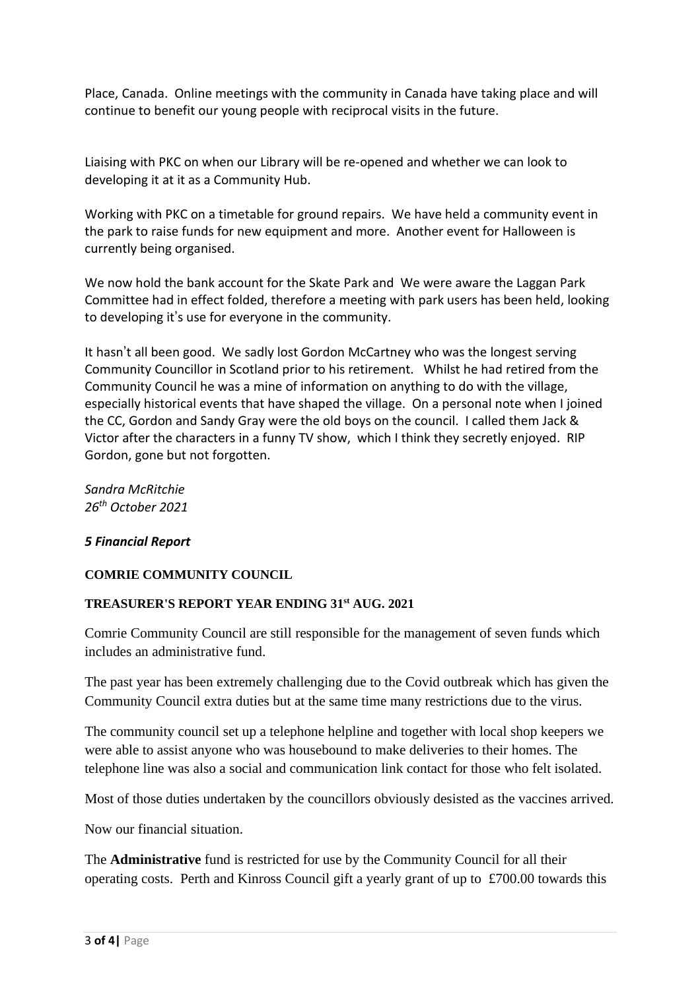Place, Canada. Online meetings with the community in Canada have taking place and will continue to benefit our young people with reciprocal visits in the future.

Liaising with PKC on when our Library will be re-opened and whether we can look to developing it at it as a Community Hub.

Working with PKC on a timetable for ground repairs. We have held a community event in the park to raise funds for new equipment and more. Another event for Halloween is currently being organised.

We now hold the bank account for the Skate Park and We were aware the Laggan Park Committee had in effect folded, therefore a meeting with park users has been held, looking to developing it's use for everyone in the community.

It hasn't all been good. We sadly lost Gordon McCartney who was the longest serving Community Councillor in Scotland prior to his retirement. Whilst he had retired from the Community Council he was a mine of information on anything to do with the village, especially historical events that have shaped the village. On a personal note when I joined the CC, Gordon and Sandy Gray were the old boys on the council. I called them Jack & Victor after the characters in a funny TV show, which I think they secretly enjoyed. RIP Gordon, gone but not forgotten.

*Sandra McRitchie 26th October 2021*

# *5 Financial Report*

# **COMRIE COMMUNITY COUNCIL**

### **TREASURER'S REPORT YEAR ENDING 31st AUG. 2021**

Comrie Community Council are still responsible for the management of seven funds which includes an administrative fund.

The past year has been extremely challenging due to the Covid outbreak which has given the Community Council extra duties but at the same time many restrictions due to the virus.

The community council set up a telephone helpline and together with local shop keepers we were able to assist anyone who was housebound to make deliveries to their homes. The telephone line was also a social and communication link contact for those who felt isolated.

Most of those duties undertaken by the councillors obviously desisted as the vaccines arrived.

Now our financial situation.

The **Administrative** fund is restricted for use by the Community Council for all their operating costs. Perth and Kinross Council gift a yearly grant of up to £700.00 towards this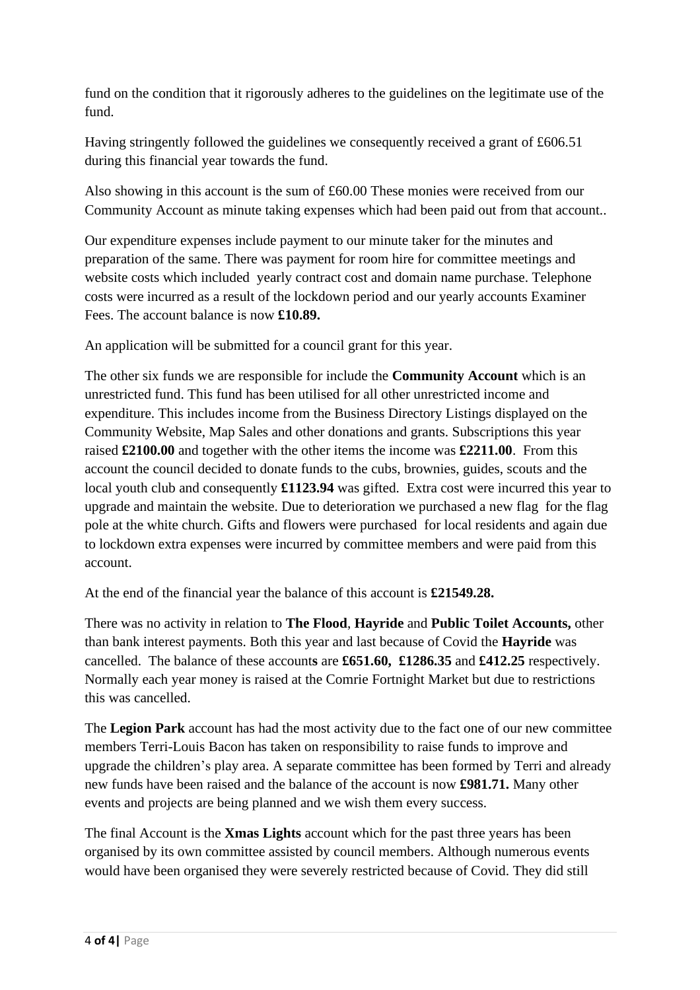fund on the condition that it rigorously adheres to the guidelines on the legitimate use of the fund.

Having stringently followed the guidelines we consequently received a grant of £606.51 during this financial year towards the fund.

Also showing in this account is the sum of £60.00 These monies were received from our Community Account as minute taking expenses which had been paid out from that account..

Our expenditure expenses include payment to our minute taker for the minutes and preparation of the same. There was payment for room hire for committee meetings and website costs which included yearly contract cost and domain name purchase. Telephone costs were incurred as a result of the lockdown period and our yearly accounts Examiner Fees. The account balance is now **£10.89.**

An application will be submitted for a council grant for this year.

The other six funds we are responsible for include the **Community Account** which is an unrestricted fund. This fund has been utilised for all other unrestricted income and expenditure. This includes income from the Business Directory Listings displayed on the Community Website, Map Sales and other donations and grants. Subscriptions this year raised **£2100.00** and together with the other items the income was **£2211.00**. From this account the council decided to donate funds to the cubs, brownies, guides, scouts and the local youth club and consequently **£1123.94** was gifted. Extra cost were incurred this year to upgrade and maintain the website. Due to deterioration we purchased a new flag for the flag pole at the white church. Gifts and flowers were purchased for local residents and again due to lockdown extra expenses were incurred by committee members and were paid from this account.

At the end of the financial year the balance of this account is **£21549.28.**

There was no activity in relation to **The Flood**, **Hayride** and **Public Toilet Accounts,** other than bank interest payments. Both this year and last because of Covid the **Hayride** was cancelled.The balance of these account**s** are **£651.60, £1286.35** and **£412.25** respectively. Normally each year money is raised at the Comrie Fortnight Market but due to restrictions this was cancelled.

The **Legion Park** account has had the most activity due to the fact one of our new committee members Terri-Louis Bacon has taken on responsibility to raise funds to improve and upgrade the children's play area. A separate committee has been formed by Terri and already new funds have been raised and the balance of the account is now **£981.71.** Many other events and projects are being planned and we wish them every success.

The final Account is the **Xmas Lights** account which for the past three years has been organised by its own committee assisted by council members. Although numerous events would have been organised they were severely restricted because of Covid. They did still